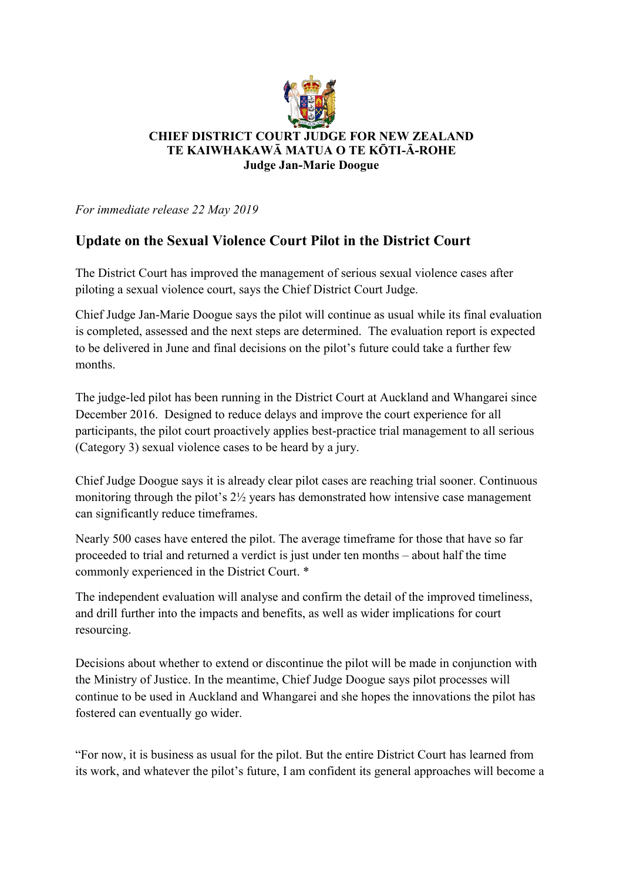

## **CHIEF DISTRICT COURT JUDGE FOR NEW ZEALAND TE KAIWHAKAWĀ MATUA O TE KŌTI-Ā-ROHE Judge Jan-Marie Doogue**

*For immediate release 22 May 2019*

## **Update on the Sexual Violence Court Pilot in the District Court**

The District Court has improved the management of serious sexual violence cases after piloting a sexual violence court, says the Chief District Court Judge.

Chief Judge Jan-Marie Doogue says the pilot will continue as usual while its final evaluation is completed, assessed and the next steps are determined. The evaluation report is expected to be delivered in June and final decisions on the pilot's future could take a further few months.

The judge-led pilot has been running in the District Court at Auckland and Whangarei since December 2016. Designed to reduce delays and improve the court experience for all participants, the pilot court proactively applies best-practice trial management to all serious (Category 3) sexual violence cases to be heard by a jury.

Chief Judge Doogue says it is already clear pilot cases are reaching trial sooner. Continuous monitoring through the pilot's 2½ years has demonstrated how intensive case management can significantly reduce timeframes.

Nearly 500 cases have entered the pilot. The average timeframe for those that have so far proceeded to trial and returned a verdict is just under ten months – about half the time commonly experienced in the District Court. \*

The independent evaluation will analyse and confirm the detail of the improved timeliness, and drill further into the impacts and benefits, as well as wider implications for court resourcing.

Decisions about whether to extend or discontinue the pilot will be made in conjunction with the Ministry of Justice. In the meantime, Chief Judge Doogue says pilot processes will continue to be used in Auckland and Whangarei and she hopes the innovations the pilot has fostered can eventually go wider.

"For now, it is business as usual for the pilot. But the entire District Court has learned from its work, and whatever the pilot's future, I am confident its general approaches will become a